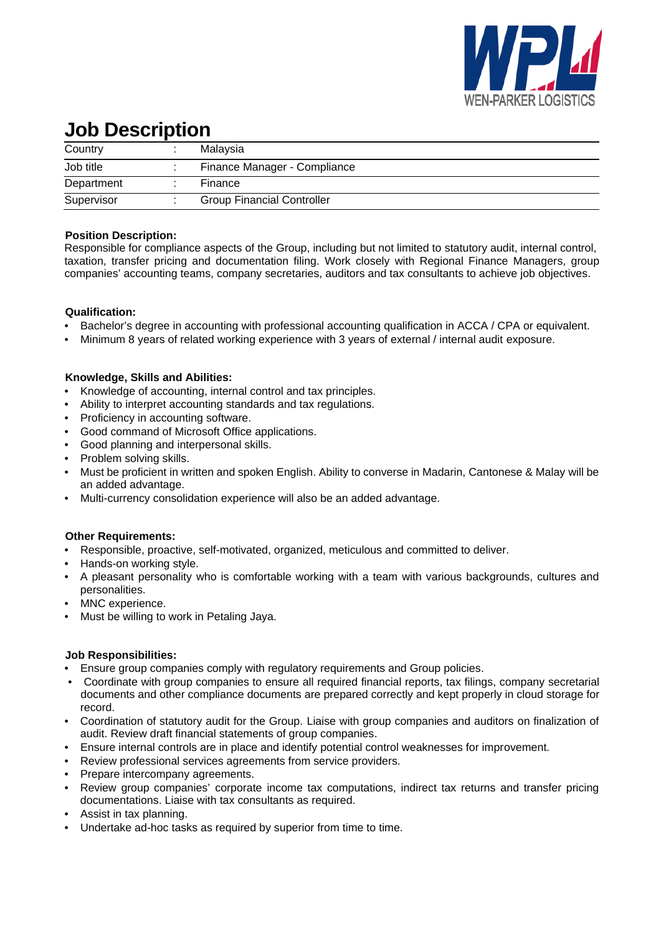

# **Job Description**

| Country    | Malaysia                          |
|------------|-----------------------------------|
| Job title  | Finance Manager - Compliance      |
| Department | Finance                           |
| Supervisor | <b>Group Financial Controller</b> |

### **Position Description:**

Responsible for compliance aspects of the Group, including but not limited to statutory audit, internal control, taxation, transfer pricing and documentation filing. Work closely with Regional Finance Managers, group companies' accounting teams, company secretaries, auditors and tax consultants to achieve job objectives.

# **Qualification:**

- Bachelor's degree in accounting with professional accounting qualification in ACCA / CPA or equivalent.
- Minimum 8 years of related working experience with 3 years of external / internal audit exposure.

# **Knowledge, Skills and Abilities:**

- Knowledge of accounting, internal control and tax principles.
- Ability to interpret accounting standards and tax regulations.
- Proficiency in accounting software.
- Good command of Microsoft Office applications.
- Good planning and interpersonal skills.
- Problem solving skills.
- Must be proficient in written and spoken English. Ability to converse in Madarin, Cantonese & Malay will be an added advantage.
- Multi-currency consolidation experience will also be an added advantage.

### **Other Requirements:**

- Responsible, proactive, self-motivated, organized, meticulous and committed to deliver.
- Hands-on working style.
- A pleasant personality who is comfortable working with a team with various backgrounds, cultures and personalities.
- MNC experience.
- Must be willing to work in Petaling Jaya.

### **Job Responsibilities:**

- Ensure group companies comply with regulatory requirements and Group policies.
- Coordinate with group companies to ensure all required financial reports, tax filings, company secretarial documents and other compliance documents are prepared correctly and kept properly in cloud storage for record.
- Coordination of statutory audit for the Group. Liaise with group companies and auditors on finalization of audit. Review draft financial statements of group companies.
- Ensure internal controls are in place and identify potential control weaknesses for improvement.
- Review professional services agreements from service providers.
- Prepare intercompany agreements.
- Review group companies' corporate income tax computations, indirect tax returns and transfer pricing documentations. Liaise with tax consultants as required.
- Assist in tax planning.
- Undertake ad-hoc tasks as required by superior from time to time.